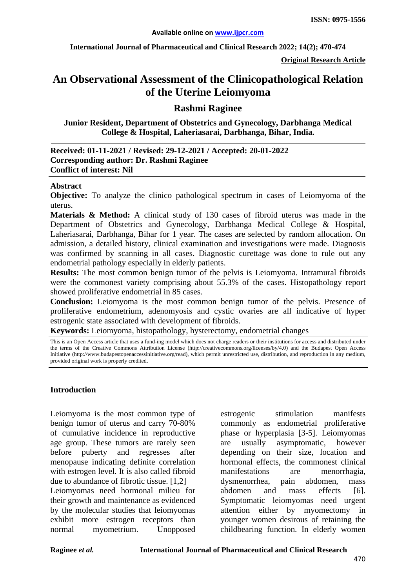**International Journal of Pharmaceutical and Clinical Research 2022; 14(2); 470-474**

**Original Research Article**

# **An Observational Assessment of the Clinicopathological Relation of the Uterine Leiomyoma**

### **Rashmi Raginee**

**Junior Resident, Department of Obstetrics and Gynecology, Darbhanga Medical College & Hospital, Laheriasarai, Darbhanga, Bihar, India.**

| Received: 01-11-2021 / Revised: 29-12-2021 / Accepted: 20-01-2022 |
|-------------------------------------------------------------------|
| Corresponding author: Dr. Rashmi Raginee                          |
| <b>Conflict of interest: Nil</b>                                  |

#### **Abstract**

**Objective:** To analyze the clinico pathological spectrum in cases of Leiomyoma of the uterus.

**Materials & Method:** A clinical study of 130 cases of fibroid uterus was made in the Department of Obstetrics and Gynecology, Darbhanga Medical College & Hospital, Laheriasarai, Darbhanga, Bihar for 1 year. The cases are selected by random allocation. On admission, a detailed history, clinical examination and investigations were made. Diagnosis was confirmed by scanning in all cases. Diagnostic curettage was done to rule out any endometrial pathology especially in elderly patients.

**Results:** The most common benign tumor of the pelvis is Leiomyoma. Intramural fibroids were the commonest variety comprising about 55.3% of the cases. Histopathology report showed proliferative endometrial in 85 cases.

**Conclusion:** Leiomyoma is the most common benign tumor of the pelvis. Presence of proliferative endometrium, adenomyosis and cystic ovaries are all indicative of hyper estrogenic state associated with development of fibroids.

**Keywords:** Leiomyoma, histopathology, hysterectomy, endometrial changes

This is an Open Access article that uses a fund-ing model which does not charge readers or their institutions for access and distributed under the terms of the Creative Commons Attribution License (http://creativecommons.org/licenses/by/4.0) and the Budapest Open Access Initiative (http://www.budapestopenaccessinitiative.org/read), which permit unrestricted use, distribution, and reproduction in any medium, provided original work is properly credited.

#### **Introduction**

Leiomyoma is the most common type of benign tumor of uterus and carry 70-80% of cumulative incidence in reproductive age group. These tumors are rarely seen before puberty and regresses after menopause indicating definite correlation with estrogen level. It is also called fibroid due to abundance of fibrotic tissue. [1,2] Leiomyomas need hormonal milieu for their growth and maintenance as evidenced by the molecular studies that leiomyomas exhibit more estrogen receptors than normal myometrium. Unopposed

estrogenic stimulation manifests commonly as endometrial proliferative phase or hyperplasia [3-5]. Leiomyomas are usually asymptomatic, however depending on their size, location and hormonal effects, the commonest clinical manifestations are menorrhagia, dysmenorrhea, pain abdomen, mass abdomen and mass effects [6]. Symptomatic leiomyomas need urgent attention either by myomectomy in younger women desirous of retaining the childbearing function. In elderly women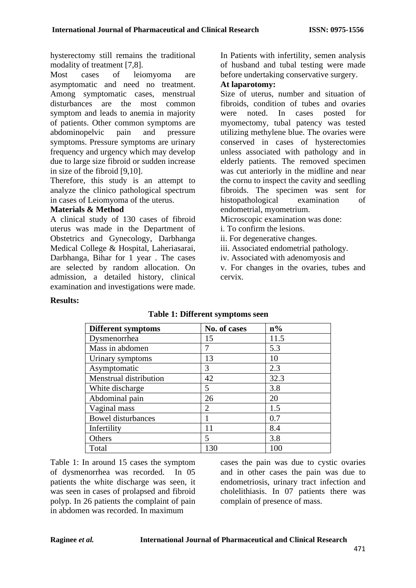hysterectomy still remains the traditional modality of treatment [7,8].

Most cases of leiomyoma are asymptomatic and need no treatment. Among symptomatic cases, menstrual disturbances are the most common symptom and leads to anemia in majority of patients. Other common symptoms are abdominopelvic pain and pressure symptoms. Pressure symptoms are urinary frequency and urgency which may develop due to large size fibroid or sudden increase in size of the fibroid [9,10].

Therefore, this study is an attempt to analyze the clinico pathological spectrum in cases of Leiomyoma of the uterus.

### **Materials & Method**

A clinical study of 130 cases of fibroid uterus was made in the Department of Obstetrics and Gynecology, Darbhanga Medical College & Hospital, Laheriasarai, Darbhanga, Bihar for 1 year . The cases are selected by random allocation. On admission, a detailed history, clinical examination and investigations were made.

In Patients with infertility, semen analysis of husband and tubal testing were made before undertaking conservative surgery.

### **At laparotomy:**

Size of uterus, number and situation of fibroids, condition of tubes and ovaries were noted. In cases posted for myomectomy, tubal patency was tested utilizing methylene blue. The ovaries were conserved in cases of hysterectomies unless associated with pathology and in elderly patients. The removed specimen was cut anteriorly in the midline and near the cornu to inspect the cavity and seedling fibroids. The specimen was sent for histopathological examination of endometrial, myometrium.

Microscopic examination was done:

i. To confirm the lesions.

ii. For degenerative changes.

iii. Associated endometrial pathology.

iv. Associated with adenomyosis and

v. For changes in the ovaries, tubes and cervix.

#### **Results:**

| <b>Different symptoms</b> | No. of cases   | $n\%$ |
|---------------------------|----------------|-------|
| Dysmenorrhea              | 15             | 11.5  |
| Mass in abdomen           | 7              | 5.3   |
| Urinary symptoms          | 13             | 10    |
| Asymptomatic              | 3              | 2.3   |
| Menstrual distribution    | 42             | 32.3  |
| White discharge           | 5              | 3.8   |
| Abdominal pain            | 26             | 20    |
| Vaginal mass              | $\overline{2}$ | 1.5   |
| <b>Bowel disturbances</b> |                | 0.7   |
| Infertility               | 11             | 8.4   |
| Others                    | $\overline{5}$ | 3.8   |
| Total                     | 130            | 100   |

## **Table 1: Different symptoms seen**

Table 1: In around 15 cases the symptom of dysmenorrhea was recorded. In 05 patients the white discharge was seen, it was seen in cases of prolapsed and fibroid polyp. In 26 patients the complaint of pain in abdomen was recorded. In maximum

cases the pain was due to cystic ovaries and in other cases the pain was due to endometriosis, urinary tract infection and cholelithiasis. In 07 patients there was complain of presence of mass.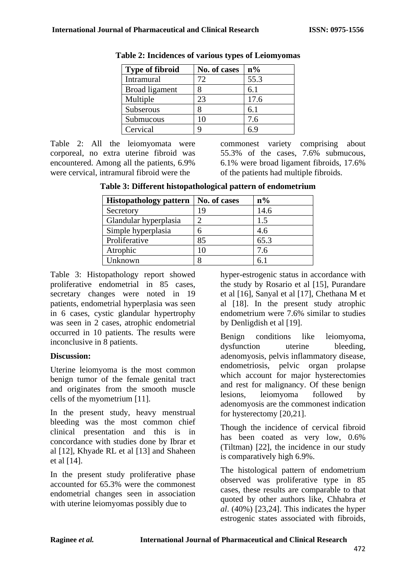| <b>Type of fibroid</b> | No. of cases | $n\%$ |
|------------------------|--------------|-------|
| Intramural             | 72           | 55.3  |
| Broad ligament         |              | 6.1   |
| Multiple               | 23           | 17.6  |
| Subserous              |              | 6.1   |
| Submucous              | 10           | 7.6   |
| Cervical               |              | 69    |

**Table 2: Incidences of various types of Leiomyomas**

Table 2: All the leiomyomata were corporeal, no extra uterine fibroid was encountered. Among all the patients, 6.9% were cervical, intramural fibroid were the

commonest variety comprising about 55.3% of the cases, 7.6% submucous, 6.1% were broad ligament fibroids, 17.6% of the patients had multiple fibroids.

**Table 3: Different histopathological pattern of endometrium**

| <b>Histopathology pattern</b> | No. of cases | $n\%$ |
|-------------------------------|--------------|-------|
| Secretory                     | 19           | 14.6  |
| Glandular hyperplasia         | 2            | 1.5   |
| Simple hyperplasia            | 6            | 4.6   |
| Proliferative                 | 85           | 65.3  |
| Atrophic                      |              | 7.6   |
| Unknown                       |              | 6.1   |

Table 3: Histopathology report showed proliferative endometrial in 85 cases, secretary changes were noted in 19 patients, endometrial hyperplasia was seen in 6 cases, cystic glandular hypertrophy was seen in 2 cases, atrophic endometrial occurred in 10 patients. The results were inconclusive in 8 patients.

## **Discussion:**

Uterine leiomyoma is the most common benign tumor of the female genital tract and originates from the smooth muscle cells of the myometrium [11].

In the present study, heavy menstrual bleeding was the most common chief clinical presentation and this is in concordance with studies done by Ibrar et al [12], Khyade RL et al [13] and Shaheen et al [14].

In the present study proliferative phase accounted for 65.3% were the commonest endometrial changes seen in association with uterine leiomyomas possibly due to

hyper-estrogenic status in accordance with the study by Rosario et al [15], Purandare et al [16], Sanyal et al [17], Chethana M et al [18]. In the present study atrophic endometrium were 7.6% similar to studies by Denligdish et al [19].

Benign conditions like leiomyoma, dysfunction uterine bleeding, adenomyosis, pelvis inflammatory disease, endometriosis, pelvic organ prolapse which account for major hysterectomies and rest for malignancy. Of these benign lesions, leiomyoma followed by adenomyosis are the commonest indication for hysterectomy [20,21].

Though the incidence of cervical fibroid has been coated as very low, 0.6% (Tiltman) [22], the incidence in our study is comparatively high 6.9%.

The histological pattern of endometrium observed was proliferative type in 85 cases, these results are comparable to that quoted by other authors like, Chhabra *et al*. (40%) [23,24]. This indicates the hyper estrogenic states associated with fibroids,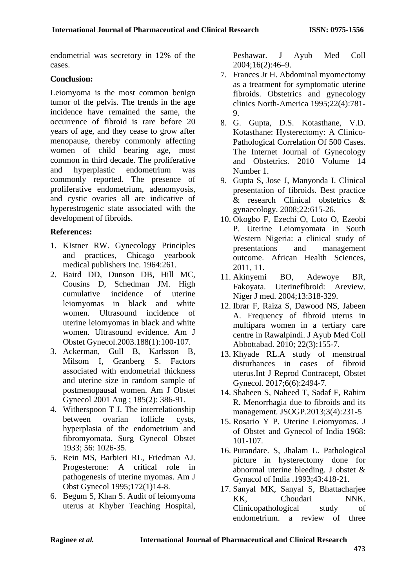endometrial was secretory in 12% of the cases.

## **Conclusion:**

Leiomyoma is the most common benign tumor of the pelvis. The trends in the age incidence have remained the same, the occurrence of fibroid is rare before 20 years of age, and they cease to grow after menopause, thereby commonly affecting women of child bearing age, most common in third decade. The proliferative and hyperplastic endometrium was commonly reported. The presence of proliferative endometrium, adenomyosis, and cystic ovaries all are indicative of hyperestrogenic state associated with the development of fibroids.

## **References:**

- 1. KIstner RW. Gynecology Principles and practices, Chicago yearbook medical publishers Inc. 1964:261.
- 2. Baird DD, Dunson DB, Hill MC, Cousins D, Schedman JM. High cumulative incidence of uterine leiomyomas in black and white women. Ultrasound incidence of uterine leiomyomas in black and white women. Ultrasound evidence. Am J Obstet Gynecol.2003.188(1):100-107.
- 3. Ackerman, Gull B, Karlsson B, Milsom I, Granberg S. Factors associated with endometrial thickness and uterine size in random sample of postmenopausal women. Am J Obstet Gynecol 2001 Aug ; 185(2): 386-91.
- 4. Witherspoon T J. The interrelationship between ovarian follicle cysts, hyperplasia of the endometrium and fibromyomata. Surg Gynecol Obstet 1933; 56: 1026-35.
- 5. Rein MS, Barbieri RL, Friedman AJ. Progesterone: A critical role in pathogenesis of uterine myomas. Am J Obst Gynecol 1995;172(1)14-8.
- 6. Begum S, Khan S. Audit of leiomyoma uterus at Khyber Teaching Hospital,

Peshawar. J Ayub Med Coll 2004;16(2):46–9.

- 7. Frances Jr H. Abdominal myomectomy as a treatment for symptomatic uterine fibroids. Obstetrics and gynecology clinics North-America 1995;22(4):781- 9.
- 8. G. Gupta, D.S. Kotasthane, V.D. Kotasthane: Hysterectomy: A Clinico-Pathological Correlation Of 500 Cases. The Internet Journal of Gynecology and Obstetrics. 2010 Volume 14 Number 1.
- 9. Gupta S, Jose J, Manyonda I. Clinical presentation of fibroids. Best practice & research Clinical obstetrics & gynaecology. 2008;22:615-26.
- 10. Okogbo F, Ezechi O, Loto O, Ezeobi P. Uterine Leiomyomata in South Western Nigeria: a clinical study of presentations and management outcome. African Health Sciences, 2011, 11.
- 11. Akinyemi BO, Adewoye BR, Fakoyata. Uterinefibroid: Areview. Niger J med. 2004;13:318-329.
- 12. Ibrar F, Raiza S, Dawood NS, Jabeen A. Frequency of fibroid uterus in multipara women in a tertiary care centre in Rawalpindi. J Ayub Med Coll Abbottabad. 2010; 22(3):155-7.
- 13. Khyade RL.A study of menstrual disturbances in cases of fibroid uterus.Int J Reprod Contracept, Obstet Gynecol. 2017;6(6):2494-7.
- 14. Shaheen S, Naheed T, Sadaf F, Rahim R. Menorrhagia due to fibroids and its management. JSOGP.2013;3(4):231-5
- 15. Rosario Y P. Uterine Leiomyomas. J of Obstet and Gynecol of India 1968: 101-107.
- 16. Purandare. S, Jhalam L. Pathological picture in hysterectomy done for abnormal uterine bleeding. J obstet & Gynacol of India .1993;43:418-21.
- 17. Sanyal MK, Sanyal S, Bhattacharjee KK, Choudari NNK. Clinicopathological study of endometrium. a review of three